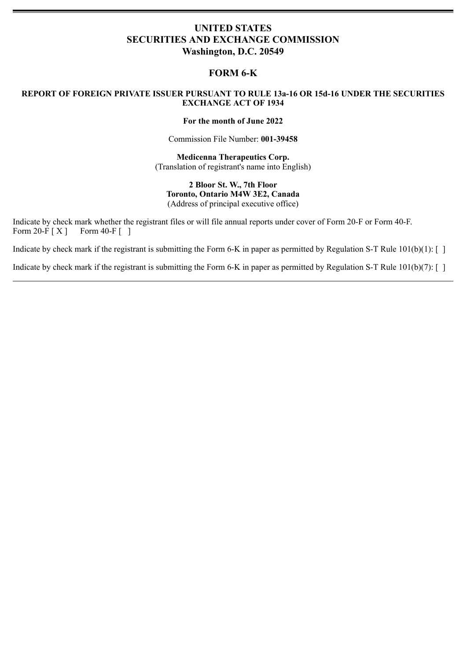# **UNITED STATES SECURITIES AND EXCHANGE COMMISSION Washington, D.C. 20549**

## **FORM 6-K**

## **REPORT OF FOREIGN PRIVATE ISSUER PURSUANT TO RULE 13a-16 OR 15d-16 UNDER THE SECURITIES EXCHANGE ACT OF 1934**

#### **For the month of June 2022**

Commission File Number: **001-39458**

**Medicenna Therapeutics Corp.** (Translation of registrant's name into English)

**2 Bloor St. W., 7th Floor Toronto, Ontario M4W 3E2, Canada** (Address of principal executive office)

Indicate by check mark whether the registrant files or will file annual reports under cover of Form 20-F or Form 40-F. Form  $20-F[X]$  Form  $40-F$  [ ]

Indicate by check mark if the registrant is submitting the Form 6-K in paper as permitted by Regulation S-T Rule  $101(b)(1)$ : []

Indicate by check mark if the registrant is submitting the Form 6-K in paper as permitted by Regulation S-T Rule  $101(b)(7)$ :  $\lceil \rceil$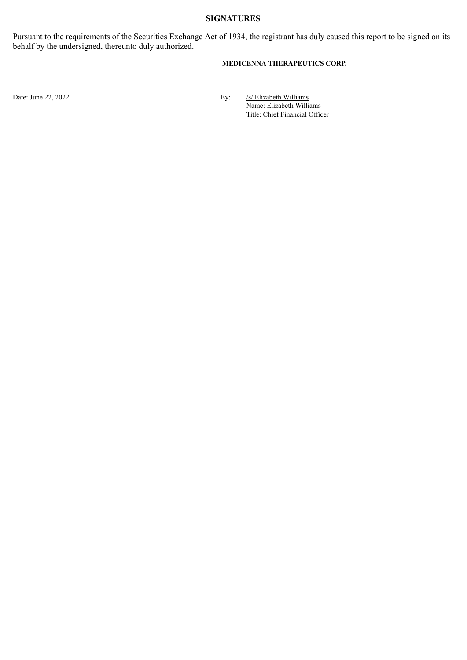## **SIGNATURES**

Pursuant to the requirements of the Securities Exchange Act of 1934, the registrant has duly caused this report to be signed on its behalf by the undersigned, thereunto duly authorized.

## **MEDICENNA THERAPEUTICS CORP.**

Date: June 22, 2022 **By:** *Solution* By: *Solution* By: *Solution* By: *Solution* By: *Solution* By: *Solution* By: *Solution* By: *Solution* By: *Solution* By: *Solution* By: *Solution* By: *Solution* By: *Solution* By: Name: Elizabeth Williams Title: Chief Financial Officer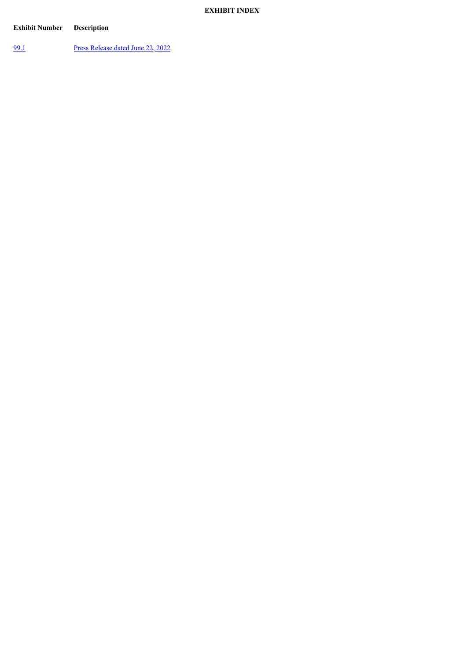## **EXHIBIT INDEX**

# **Exhibit Number Description**

[99.1](#page-3-0) Press [Release](#page-3-0) dated June 22, 2022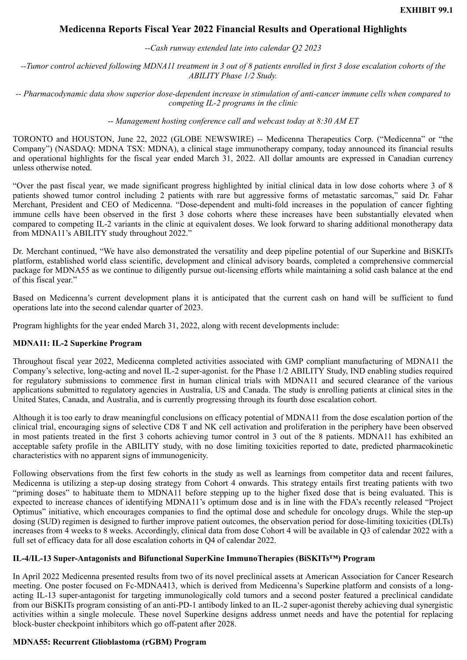# <span id="page-3-0"></span>**Medicenna Reports Fiscal Year 2022 Financial Results and Operational Highlights**

*--Cash runway extended late into calendar Q2 2023*

*--Tumor control achieved following MDNA11 treatment in 3 out of 8 patients enrolled in first 3 dose escalation cohorts of the ABILITY Phase 1/2 Study.*

*-- Pharmacodynamic data show superior dose-dependent increase in stimulation of anti-cancer immune cells when compared to competing IL-2 programs in the clinic*

-- *Management hosting conference call and webcast today at 8:30 AM ET*

TORONTO and HOUSTON, June 22, 2022 (GLOBE NEWSWIRE) -- Medicenna Therapeutics Corp. ("Medicenna" or "the Company") (NASDAQ: MDNA TSX: MDNA), a clinical stage immunotherapy company, today announced its financial results and operational highlights for the fiscal year ended March 31, 2022. All dollar amounts are expressed in Canadian currency unless otherwise noted.

"Over the past fiscal year, we made significant progress highlighted by initial clinical data in low dose cohorts where 3 of 8 patients showed tumor control including 2 patients with rare but aggressive forms of metastatic sarcomas," said Dr. Fahar Merchant, President and CEO of Medicenna. "Dose-dependent and multi-fold increases in the population of cancer fighting immune cells have been observed in the first 3 dose cohorts where these increases have been substantially elevated when compared to competing IL-2 variants in the clinic at equivalent doses. We look forward to sharing additional monotherapy data from MDNA11's ABILITY study throughout 2022."

Dr. Merchant continued, "We have also demonstrated the versatility and deep pipeline potential of our Superkine and BiSKITs platform, established world class scientific, development and clinical advisory boards, completed a comprehensive commercial package for MDNA55 as we continue to diligently pursue out-licensing efforts while maintaining a solid cash balance at the end of this fiscal year."

Based on Medicenna's current development plans it is anticipated that the current cash on hand will be sufficient to fund operations late into the second calendar quarter of 2023.

Program highlights for the year ended March 31, 2022, along with recent developments include:

#### **MDNA11: IL-2 Superkine Program**

Throughout fiscal year 2022, Medicenna completed activities associated with GMP compliant manufacturing of MDNA11 the Company's selective, long-acting and novel IL-2 super-agonist. for the Phase 1/2 ABILITY Study, IND enabling studies required for regulatory submissions to commence first in human clinical trials with MDNA11 and secured clearance of the various applications submitted to regulatory agencies in Australia, US and Canada. The study is enrolling patients at clinical sites in the United States, Canada, and Australia, and is currently progressing through its fourth dose escalation cohort.

Although it is too early to draw meaningful conclusions on efficacy potential of MDNA11 from the dose escalation portion of the clinical trial, encouraging signs of selective CD8 T and NK cell activation and proliferation in the periphery have been observed in most patients treated in the first 3 cohorts achieving tumor control in 3 out of the 8 patients. MDNA11 has exhibited an acceptable safety profile in the ABILITY study, with no dose limiting toxicities reported to date, predicted pharmacokinetic characteristics with no apparent signs of immunogenicity.

Following observations from the first few cohorts in the study as well as learnings from competitor data and recent failures, Medicenna is utilizing a step-up dosing strategy from Cohort 4 onwards. This strategy entails first treating patients with two "priming doses" to habituate them to MDNA11 before stepping up to the higher fixed dose that is being evaluated. This is expected to increase chances of identifying MDNA11's optimum dose and is in line with the FDA's recently released "Project Optimus" initiative, which encourages companies to find the optimal dose and schedule for oncology drugs. While the step-up dosing (SUD) regimen is designed to further improve patient outcomes, the observation period for dose-limiting toxicities (DLTs) increases from 4 weeks to 8 weeks. Accordingly, clinical data from dose Cohort 4 will be available in Q3 of calendar 2022 with a full set of efficacy data for all dose escalation cohorts in Q4 of calendar 2022.

#### **IL-4/IL-13 Super-Antagonists and Bifunctional SuperKine ImmunoTherapies (BiSKITs™) Program**

In April 2022 Medicenna presented results from two of its novel preclinical assets at American Association for Cancer Research meeting. One poster focused on Fc-MDNA413, which is derived from Medicenna's Superkine platform and consists of a longacting IL-13 super-antagonist for targeting immunologically cold tumors and a second poster featured a preclinical candidate from our BiSKITs program consisting of an anti-PD-1 antibody linked to an IL-2 super-agonist thereby achieving dual synergistic activities within a single molecule. These novel Superkine designs address unmet needs and have the potential for replacing block-buster checkpoint inhibitors which go off-patent after 2028.

#### **MDNA55: Recurrent Glioblastoma (rGBM) Program**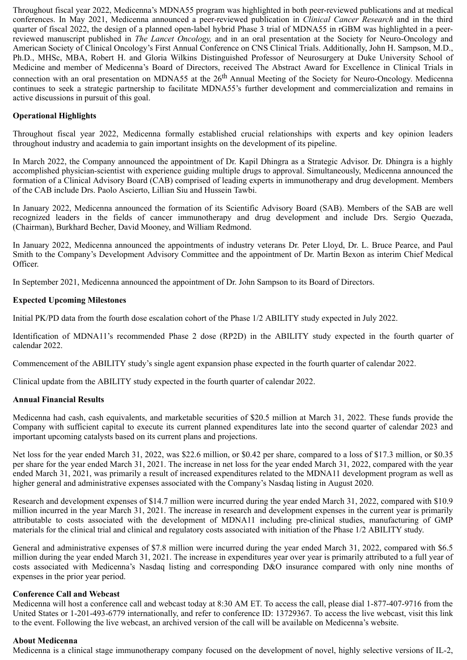Throughout fiscal year 2022, Medicenna's MDNA55 program was highlighted in both peer-reviewed publications and at medical conferences. In May 2021, Medicenna announced a peer-reviewed publication in *Clinical Cancer Research* and in the third quarter of fiscal 2022, the design of a planned open-label hybrid Phase 3 trial of MDNA55 in rGBM was highlighted in a peerreviewed manuscript published in *The Lancet Oncology,* and in an oral presentation at the Society for Neuro-Oncology and American Society of Clinical Oncology's First Annual Conference on CNS Clinical Trials. Additionally, John H. Sampson, M.D., Ph.D., MHSc, MBA, Robert H. and Gloria Wilkins Distinguished Professor of Neurosurgery at Duke University School of Medicine and member of Medicenna's Board of Directors, received The Abstract Award for Excellence in Clinical Trials in connection with an oral presentation on MDNA55 at the 26<sup>th</sup> Annual Meeting of the Society for Neuro-Oncology. Medicenna continues to seek a strategic partnership to facilitate MDNA55's further development and commercialization and remains in active discussions in pursuit of this goal.

#### **Operational Highlights**

Throughout fiscal year 2022, Medicenna formally established crucial relationships with experts and key opinion leaders throughout industry and academia to gain important insights on the development of its pipeline.

In March 2022, the Company announced the appointment of Dr. Kapil Dhingra as a Strategic Advisor. Dr. Dhingra is a highly accomplished physician-scientist with experience guiding multiple drugs to approval. Simultaneously, Medicenna announced the formation of a Clinical Advisory Board (CAB) comprised of leading experts in immunotherapy and drug development. Members of the CAB include Drs. Paolo Ascierto, Lillian Siu and Hussein Tawbi.

In January 2022, Medicenna announced the formation of its Scientific Advisory Board (SAB). Members of the SAB are well recognized leaders in the fields of cancer immunotherapy and drug development and include Drs. Sergio Quezada, (Chairman), Burkhard Becher, David Mooney, and William Redmond.

In January 2022, Medicenna announced the appointments of industry veterans Dr. Peter Lloyd, Dr. L. Bruce Pearce, and Paul Smith to the Company's Development Advisory Committee and the appointment of Dr. Martin Bexon as interim Chief Medical Officer.

In September 2021, Medicenna announced the appointment of Dr. John Sampson to its Board of Directors.

#### **Expected Upcoming Milestones**

Initial PK/PD data from the fourth dose escalation cohort of the Phase 1/2 ABILITY study expected in July 2022.

Identification of MDNA11's recommended Phase 2 dose (RP2D) in the ABILITY study expected in the fourth quarter of calendar 2022.

Commencement of the ABILITY study's single agent expansion phase expected in the fourth quarter of calendar 2022.

Clinical update from the ABILITY study expected in the fourth quarter of calendar 2022.

#### **Annual Financial Results**

Medicenna had cash, cash equivalents, and marketable securities of \$20.5 million at March 31, 2022. These funds provide the Company with sufficient capital to execute its current planned expenditures late into the second quarter of calendar 2023 and important upcoming catalysts based on its current plans and projections.

Net loss for the year ended March 31, 2022, was \$22.6 million, or \$0.42 per share, compared to a loss of \$17.3 million, or \$0.35 per share for the year ended March 31, 2021. The increase in net loss for the year ended March 31, 2022, compared with the year ended March 31, 2021, was primarily a result of increased expenditures related to the MDNA11 development program as well as higher general and administrative expenses associated with the Company's Nasdaq listing in August 2020.

Research and development expenses of \$14.7 million were incurred during the year ended March 31, 2022, compared with \$10.9 million incurred in the year March 31, 2021. The increase in research and development expenses in the current year is primarily attributable to costs associated with the development of MDNA11 including pre-clinical studies, manufacturing of GMP materials for the clinical trial and clinical and regulatory costs associated with initiation of the Phase 1/2 ABILITY study.

General and administrative expenses of \$7.8 million were incurred during the year ended March 31, 2022, compared with \$6.5 million during the year ended March 31, 2021. The increase in expenditures year over year is primarily attributed to a full year of costs associated with Medicenna's Nasdaq listing and corresponding D&O insurance compared with only nine months of expenses in the prior year period.

#### **Conference Call and Webcast**

Medicenna will host a conference call and webcast today at 8:30 AM ET. To access the call, please dial 1-877-407-9716 from the United States or 1-201-493-6779 internationally, and refer to conference ID: 13729367. To access the live webcast, visit this link to the event. Following the live webcast, an archived version of the call will be available on Medicenna's website.

#### **About Medicenna**

Medicenna is a clinical stage immunotherapy company focused on the development of novel, highly selective versions of IL-2,